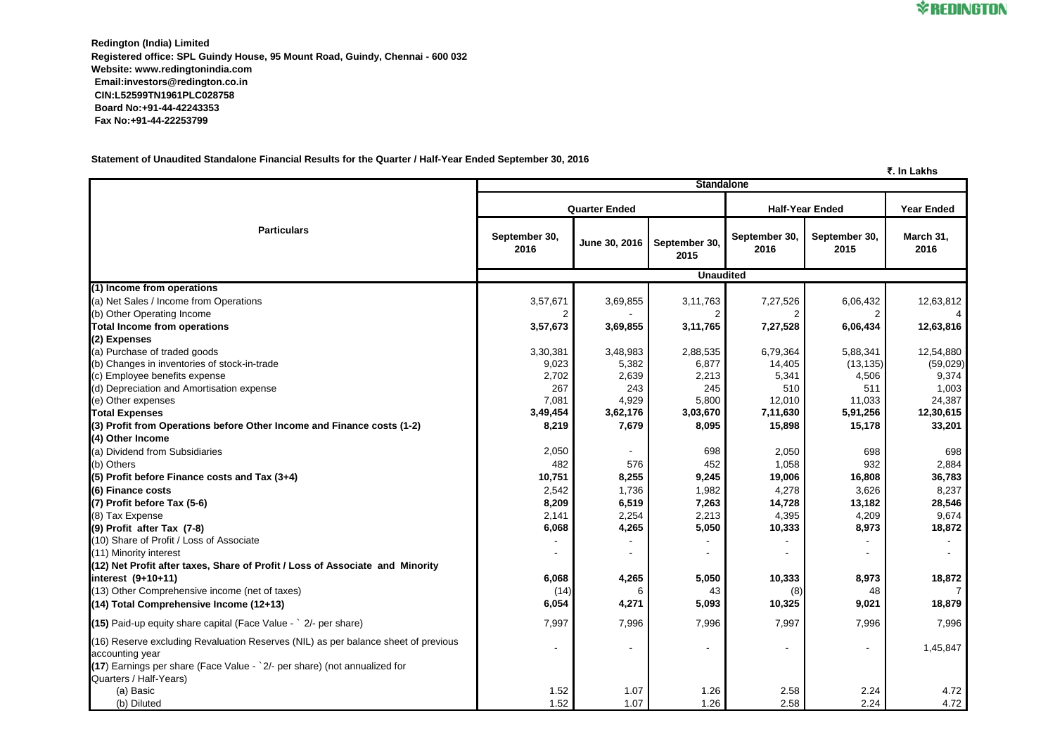**Redington (India) Limited Registered office: SPL Guindy House, 95 Mount Road, Guindy, Chennai - 600 032 Website: www.redingtonindia.com Email:investors@redington.co.in CIN:L52599TN1961PLC028758 Board No:+91-44-42243353 Fax No:+91-44-22253799**

**Statement of Unaudited Standalone Financial Results for the Quarter / Half-Year Ended September 30, 2016**

**₹. In Lakhs**

|                                                                                                       | <b>Standalone</b>     |               |                       |                        |                       |                   |  |  |
|-------------------------------------------------------------------------------------------------------|-----------------------|---------------|-----------------------|------------------------|-----------------------|-------------------|--|--|
|                                                                                                       | <b>Quarter Ended</b>  |               |                       | <b>Half-Year Ended</b> |                       | <b>Year Ended</b> |  |  |
| <b>Particulars</b>                                                                                    | September 30,<br>2016 | June 30, 2016 | September 30,<br>2015 | September 30,<br>2016  | September 30,<br>2015 | March 31,<br>2016 |  |  |
|                                                                                                       | <b>Unaudited</b>      |               |                       |                        |                       |                   |  |  |
| (1) Income from operations                                                                            |                       |               |                       |                        |                       |                   |  |  |
| (a) Net Sales / Income from Operations                                                                | 3,57,671              | 3,69,855      | 3,11,763              | 7,27,526               | 6,06,432              | 12,63,812         |  |  |
| (b) Other Operating Income                                                                            |                       |               |                       |                        | 2                     | 4                 |  |  |
| <b>Total Income from operations</b>                                                                   | 3,57,673              | 3,69,855      | 3,11,765              | 7,27,528               | 6,06,434              | 12,63,816         |  |  |
| (2) Expenses                                                                                          |                       |               |                       |                        |                       |                   |  |  |
| (a) Purchase of traded goods                                                                          | 3,30,381              | 3,48,983      | 2,88,535              | 6,79,364               | 5,88,341              | 12,54,880         |  |  |
| (b) Changes in inventories of stock-in-trade                                                          | 9,023                 | 5,382         | 6,877                 | 14,405                 | (13, 135)             | (59, 029)         |  |  |
| (c) Employee benefits expense                                                                         | 2,702                 | 2,639         | 2,213                 | 5,341                  | 4,506                 | 9,374             |  |  |
| (d) Depreciation and Amortisation expense                                                             | 267                   | 243           | 245                   | 510                    | 511                   | 1,003             |  |  |
| (e) Other expenses                                                                                    | 7,081                 | 4,929         | 5,800                 | 12,010                 | 11,033                | 24,387            |  |  |
| <b>Total Expenses</b>                                                                                 | 3,49,454              | 3,62,176      | 3,03,670              | 7,11,630               | 5,91,256              | 12,30,615         |  |  |
| (3) Profit from Operations before Other Income and Finance costs (1-2)                                | 8,219                 | 7,679         | 8,095                 | 15,898                 | 15,178                | 33,201            |  |  |
| (4) Other Income                                                                                      |                       |               |                       |                        |                       |                   |  |  |
| (a) Dividend from Subsidiaries                                                                        | 2,050                 |               | 698                   | 2,050                  | 698                   | 698               |  |  |
| (b) Others                                                                                            | 482                   | 576           | 452                   | 1,058                  | 932                   | 2,884             |  |  |
| $(5)$ Profit before Finance costs and Tax $(3+4)$                                                     | 10,751                | 8,255         | 9,245                 | 19,006                 | 16,808                | 36,783            |  |  |
| (6) Finance costs                                                                                     | 2,542                 | 1,736         | 1,982                 | 4,278                  | 3,626                 | 8,237             |  |  |
| $(7)$ Profit before Tax $(5-6)$                                                                       | 8,209                 | 6,519         | 7,263                 | 14,728                 | 13,182                | 28,546            |  |  |
| (8) Tax Expense                                                                                       | 2,141                 | 2,254         | 2,213                 | 4,395                  | 4,209                 | 9,674             |  |  |
| (9) Profit after Tax (7-8)                                                                            | 6,068                 | 4,265         | 5,050                 | 10,333                 | 8,973                 | 18,872            |  |  |
| (10) Share of Profit / Loss of Associate                                                              |                       |               |                       |                        |                       |                   |  |  |
| (11) Minority interest                                                                                |                       |               |                       |                        |                       |                   |  |  |
| (12) Net Profit after taxes, Share of Profit / Loss of Associate and Minority                         |                       |               |                       |                        |                       |                   |  |  |
| $\left $ interest $(9+10+11)$                                                                         | 6,068                 | 4,265         | 5,050                 | 10,333                 | 8,973                 | 18,872            |  |  |
| (13) Other Comprehensive income (net of taxes)                                                        | (14)                  |               | 43                    | (8)                    | 48                    |                   |  |  |
| $(14)$ Total Comprehensive Income $(12+13)$                                                           | 6,054                 | 4,271         | 5,093                 | 10,325                 | 9,021                 | 18,879            |  |  |
| $(15)$ Paid-up equity share capital (Face Value - $\degree$ 2/- per share)                            | 7,997                 | 7,996         | 7,996                 | 7,997                  | 7,996                 | 7,996             |  |  |
| (16) Reserve excluding Revaluation Reserves (NIL) as per balance sheet of previous<br>accounting year |                       |               |                       |                        |                       | 1,45,847          |  |  |
| (17) Earnings per share (Face Value - `2/- per share) (not annualized for<br>Quarters / Half-Years)   |                       |               |                       |                        |                       |                   |  |  |
| (a) Basic                                                                                             | 1.52                  | 1.07          | 1.26                  | 2.58                   | 2.24                  | 4.72              |  |  |
| (b) Diluted                                                                                           | 1.52                  | 1.07          | 1.26                  | 2.58                   | 2.24                  | 4.72              |  |  |

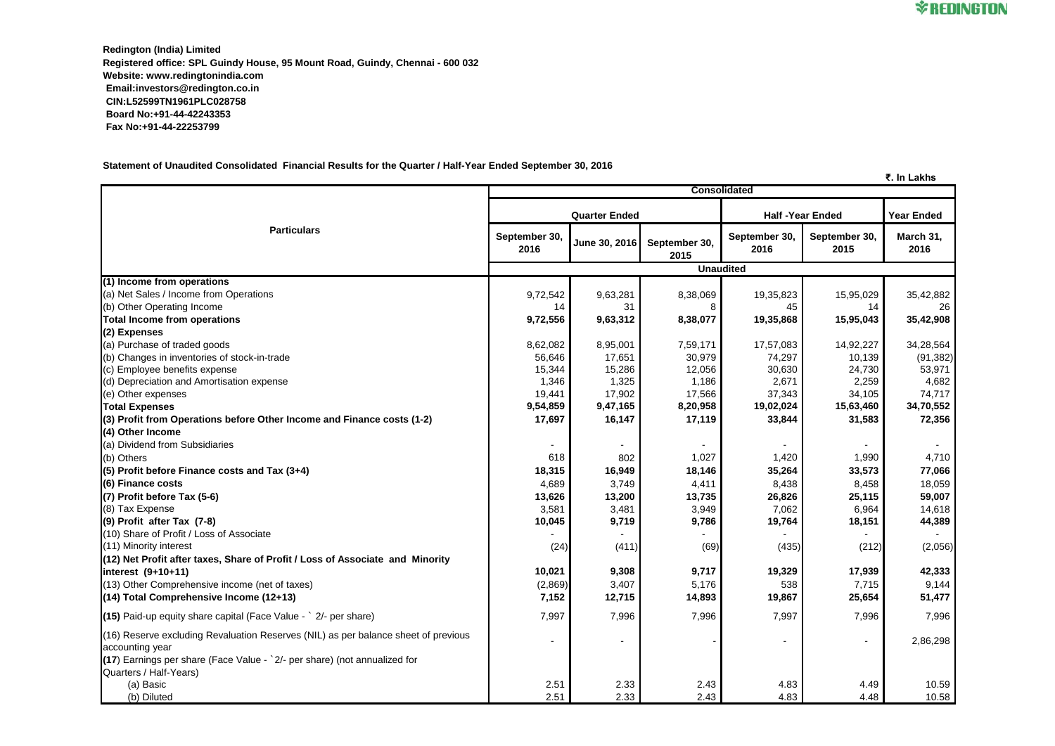**Redington (India) Limited Registered office: SPL Guindy House, 95 Mount Road, Guindy, Chennai - 600 032 Website: www.redingtonindia.com Email:investors@redington.co.in CIN:L52599TN1961PLC028758 Board No:+91-44-42243353 Fax No:+91-44-22253799**

**Statement of Unaudited Consolidated Financial Results for the Quarter / Half-Year Ended September 30, 2016**

|                                                                                                       |                       |                          |                       |                        |                       | ₹. In Lakhs       |
|-------------------------------------------------------------------------------------------------------|-----------------------|--------------------------|-----------------------|------------------------|-----------------------|-------------------|
|                                                                                                       | <b>Consolidated</b>   |                          |                       |                        |                       |                   |
|                                                                                                       | <b>Quarter Ended</b>  |                          |                       | <b>Half-Year Ended</b> |                       | <b>Year Ended</b> |
| <b>Particulars</b>                                                                                    | September 30,<br>2016 | June 30, 2016            | September 30,<br>2015 | September 30,<br>2016  | September 30,<br>2015 | March 31,<br>2016 |
|                                                                                                       | <b>Unaudited</b>      |                          |                       |                        |                       |                   |
| (1) Income from operations                                                                            |                       |                          |                       |                        |                       |                   |
| (a) Net Sales / Income from Operations                                                                | 9,72,542              | 9,63,281                 | 8,38,069              | 19,35,823              | 15,95,029             | 35,42,882         |
| (b) Other Operating Income                                                                            | 14                    | 31                       |                       | 45                     | 14                    | 26                |
| <b>Total Income from operations</b>                                                                   | 9,72,556              | 9,63,312                 | 8,38,077              | 19,35,868              | 15,95,043             | 35,42,908         |
| (2) Expenses                                                                                          |                       |                          |                       |                        |                       |                   |
| (a) Purchase of traded goods                                                                          | 8,62,082              | 8,95,001                 | 7,59,171              | 17,57,083              | 14,92,227             | 34,28,564         |
| (b) Changes in inventories of stock-in-trade                                                          | 56,646                | 17,651                   | 30,979                | 74,297                 | 10,139                | (91, 382)         |
| (c) Employee benefits expense                                                                         | 15,344                | 15,286                   | 12,056                | 30,630                 | 24,730                | 53,971            |
| (d) Depreciation and Amortisation expense                                                             | 1,346                 | 1,325                    | 1,186                 | 2,671                  | 2,259                 | 4,682             |
| (e) Other expenses                                                                                    | 19,441                | 17,902                   | 17,566                | 37,343                 | 34,105                | 74,717            |
| <b>Total Expenses</b>                                                                                 | 9,54,859              | 9,47,165                 | 8,20,958              | 19,02,024              | 15,63,460             | 34,70,552         |
| (3) Profit from Operations before Other Income and Finance costs (1-2)                                | 17,697                | 16,147                   | 17,119                | 33,844                 | 31,583                | 72,356            |
| (4) Other Income                                                                                      |                       |                          |                       |                        |                       |                   |
| (a) Dividend from Subsidiaries                                                                        |                       |                          |                       |                        |                       |                   |
| (b) Others                                                                                            | 618                   | 802                      | 1,027                 | 1,420                  | 1,990                 | 4,710             |
| $(5)$ Profit before Finance costs and Tax $(3+4)$                                                     | 18,315                | 16,949                   | 18,146                | 35,264                 | 33,573                | 77,066            |
| (6) Finance costs                                                                                     | 4,689                 | 3,749                    | 4,411                 | 8,438                  | 8,458                 | 18,059            |
| $(7)$ Profit before Tax $(5-6)$                                                                       | 13,626                | 13,200                   | 13,735                | 26,826                 | 25,115                | 59,007            |
| (8) Tax Expense                                                                                       | 3,581                 | 3,481                    | 3,949                 | 7,062                  | 6,964                 | 14,618            |
| $(9)$ Profit after Tax $(7-8)$                                                                        | 10,045                | 9,719                    | 9,786                 | 19,764                 | 18,151                | 44,389            |
| (10) Share of Profit / Loss of Associate                                                              |                       |                          |                       |                        |                       |                   |
| (11) Minority interest                                                                                | (24)                  | (411)                    | (69)                  | (435)                  | (212)                 | (2,056)           |
| (12) Net Profit after taxes, Share of Profit / Loss of Associate and Minority                         |                       |                          |                       |                        |                       |                   |
| $\left $ interest $(9+10+11)$                                                                         | 10,021                | 9,308                    | 9,717                 | 19,329                 | 17,939                | 42,333            |
| (13) Other Comprehensive income (net of taxes)                                                        | (2,869)               | 3,407                    | 5,176                 | 538                    | 7,715                 | 9,144             |
| $(14)$ Total Comprehensive Income (12+13)                                                             | 7,152                 | 12,715                   | 14,893                | 19,867                 | 25,654                | 51,477            |
| $(15)$ Paid-up equity share capital (Face Value - $\degree$ 2/- per share)                            | 7,997                 | 7,996                    | 7,996                 | 7,997                  | 7,996                 | 7,996             |
| (16) Reserve excluding Revaluation Reserves (NIL) as per balance sheet of previous<br>accounting year |                       | $\overline{\phantom{a}}$ |                       |                        |                       | 2,86,298          |
| (17) Earnings per share (Face Value - `2/- per share) (not annualized for<br>Quarters / Half-Years)   |                       |                          |                       |                        |                       |                   |
| (a) Basic                                                                                             | 2.51                  | 2.33                     | 2.43                  | 4.83                   | 4.49                  | 10.59             |
| (b) Diluted                                                                                           | 2.51                  | 2.33                     | 2.43                  | 4.83                   | 4.48                  | 10.58             |